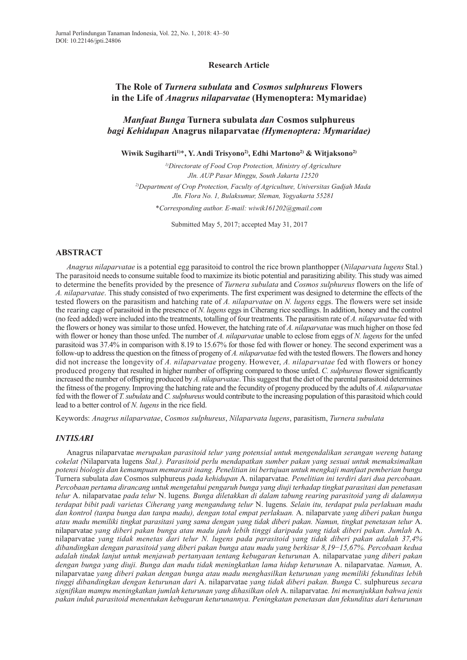### **Research Article**

# **The Role of** *Turnera subulata* **and** *Cosmos sulphureus* **Flowers in the Life of** *Anagrus nilaparvatae* **(Hymenoptera: Mymaridae)**

## *Manfaat Bunga* **Turnera subulata** *dan* **Cosmos sulphureus** *bagi Kehidupan* **Anagrus nilaparvatae** *(Hymenoptera: Mymaridae)*

**Wiwik Sugiharti 1)** \***, Y. Andi Trisyono2) , Edhi Martono2) & Witjaksono2)**

*1) Directorate of Food Crop Protection, Ministry of Agriculture Jln. AUP Pasar Minggu, South Jakarta 12520 2) Department of Crop Protection, Faculty of Agriculture, Universitas Gadjah Mada Jln. Flora No. 1, Bulaksumur, Sleman, Yogyakarta 55281*

*\*Corresponding author. E-mail: wiwik161202@gmail.com*

Submitted May 5, 2017; accepted May 31, 2017

## **ABSTRACT**

*Anagrus nilaparvatae* is a potential egg parasitoid to control the rice brown planthopper (*Nilaparvata lugens* Stal.) The parasitoid needs to consume suitable food to maximize its biotic potential and parasitizing ability. This study was aimed to determine the benefits provided by the presence of *Turnera subulata* and *Cosmos sulphureus* flowers on the life of *A. nilaparvatae*. This study consisted of two experiments. The first experiment was designed to determine the effects of the tested flowers on the parasitism and hatching rate of *A. nilaparvatae* on *N. lugens* eggs. The flowers were set inside the rearing cage of parasitoid in the presence of *N. lugens* eggsin Ciherang rice seedlings. In addition, honey and the control (no feed added) were included into the treatments, totalling of four treatments. The parasitism rate of *A. nilaparvatae* fed with the flowers or honey wassimilar to those unfed. However, the hatching rate of *A. nilaparvatae* was much higher on those fed with flower or honey than those unfed. The number of *A. nilaparvatae* unable to eclose from eggs of *N. lugens* for the unfed parasitoid was 37.4% in comparison with 8.19 to 15.67% for those fed with flower or honey. The second experiment was a follow-up to address the question on the fitness of progeny of *A. nilaparvatae* fed with the tested flowers. The flowers and honey did not increase the longevity of *A. nilaparvatae* progeny. However, *A. nilaparvatae* fed with flowers or honey produced progeny that resulted in higher number of offspring compared to those unfed. *C. sulphureus* flower significantly increased the number of offspring produced by *A. nilaparvatae*.Thissuggest that the diet ofthe parental parasitoid determines the fitness of the progeny. Improving the hatching rate and the fecundity of progeny produced by the adults of *A. nilaparvatae* fed with the flower of *T.subulata* and*C.sulphureus* would contribute to the increasing population ofthis parasitoid which could lead to a better control of *N. lugens* in the rice field.

Keywords: *Anagrus nilaparvatae*, *Cosmos sulphureus*, *Nilaparvata lugens*, parasitism, *Turnera subulata*

### *INTISARI*

Anagrus nilaparvatae *merupakan parasitoid telur yang potensial untuk mengendalikan serangan wereng batang cokelat (*Nilaparvata lugens *Stal.). Parasitoid perlu mendapatkan sumber pakan yang sesuai untuk memaksimalkan potensi biologis dan kemampuan memarasit inang. Penelitian ini bertujuan untuk mengkaji manfaat pemberian bunga* Turnera subulata *dan* Cosmos sulphureus *pada kehidupan* A. nilaparvatae*. Penelitian ini terdiri dari dua percobaan. Percobaan pertama dirancang untuk mengetahui pengaruh bunga yang diuji terhadap tingkat parasitasi dan penetasan telur* A. nilaparvatae *pada telur* N. lugens*. Bunga diletakkan di dalam tabung rearing parasitoid yang di dalamnya terdapat bibit padi varietas Ciherang yang mengandung telur* N. lugens*. Selain itu, terdapat pula perlakuan madu dan kontrol (tanpa bunga dan tanpa madu), dengan total empat perlakuan.* A. nilaparvate *yang diberi pakan bunga* atau madu memiliki tingkat parasitasi yang sama dengan yang tidak diberi pakan. Namun, tingkat penetasan telur A. nilaparvatae *yang diberi pakan bunga atau madu jauh lebih tinggi daripada yang tidak diberi pakan. Jumlah* A. nilaparvatae *yang tidak menetas dari telur N. lugens pada parasitoid yang tidak diberi pakan adalah 37,4% dibandingkan dengan parasitoid yang diberi pakan bunga atau madu yang berkisar 8,19*−*15,67%. Percobaan kedua adalah tindak lanjut untuk menjawab pertanyaan tentang kebugaran keturunan* A. nilaparvatae *yang diberi pakan dengan bunga yang diuji. Bunga dan madu tidak meningkatkan lama hidup keturunan* A. nilaparvatae*. Namun,* A. nilaparvatae *yang diberi pakan dengan bunga atau madu menghasilkan keturunan yang memiliki fekunditas lebih tinggi dibandingkan dengan keturunan dari* A. nilaparvatae *yang tidak diberi pakan. Bunga* C. sulphureus *secara signifikan mampu meningkatkan jumlah keturunan yang dihasilkan oleh* A. nilaparvatae*. Ini menunjukkan bahwa jenis pakan induk parasitoid menentukan kebugaran keturunannya. Peningkatan penetasan dan fekunditas dari keturunan*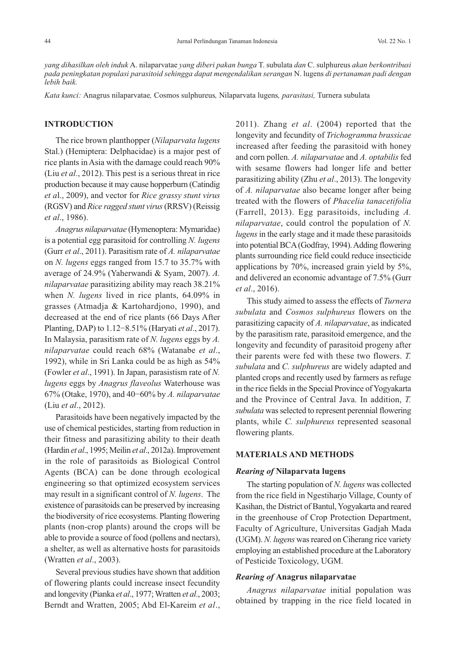*yang dihasilkan oleh induk* A. nilaparvatae *yang diberi pakan bunga* T. subulata *dan* C. sulphureus *akan berkontribusi pada peningkatan populasi parasitoid sehingga dapat mengendalikan serangan* N. lugens *di pertanaman padi dengan lebih baik.*

*Kata kunci:* Anagrus nilaparvatae*,* Cosmos sulphureus*,* Nilaparvata lugens*, parasitasi,* Turnera subulata

## **INTRODUCTION**

The rice brown planthopper (*Nilaparvata lugens* Stal.) (Hemiptera: Delphacidae) is a major pest of rice plants in Asia with the damage could reach 90% (Liu *et al*., 2012). This pest is a serious threat in rice production because it may cause hopperburn (Catindig *et a*l., 2009), and vector for *Rice grassy stunt virus* (RGSV) and *Rice ragged stunt virus*(RRSV) (Reissig *et al*., 1986).

*Anagrus nilaparvatae* (Hymenoptera: Mymaridae) is a potential egg parasitoid for controlling *N. lugens* (Gurr *et al*., 2011). Parasitism rate of *A. nilaparvatae* on *N. lugens* eggs ranged from 15.7 to 35.7% with average of 24.9% (Yaherwandi & Syam, 2007). *A. nilaparvatae* parasitizing ability may reach 38.21% when *N. lugens* lived in rice plants, 64.09% in grasses (Atmadja & Kartohardjono, 1990), and decreased at the end of rice plants (66 Days After Planting, DAP) to 1.12−8.51% (Haryati *et al*., 2017). In Malaysia, parasitism rate of *N. lugens* eggs by *A. nilaparvatae* could reach 68% (Watanabe *et al*., 1992), while in Sri Lanka could be as high as 54% (Fowler *et al*., 1991). In Japan, parasistism rate of *N. lugens* eggs by *Anagrus flaveolus* Waterhouse was 67% (Otake, 1970), and 40−60% by *A. nilaparvatae* (Liu *et al*., 2012).

Parasitoids have been negatively impacted by the use of chemical pesticides, starting from reduction in their fitness and parasitizing ability to their death (Hardin *et al*., 1995; Meilin *et al*., 2012a).Improvement in the role of parasitoids as Biological Control Agents (BCA) can be done through ecological engineering so that optimized ecosystem services may result in a significant control of *N. lugens*. The existence of parasitoids can be preserved by increasing the biodiversity of rice ecosystems. Planting flowering plants (non-crop plants) around the crops will be able to provide a source of food (pollens and nectars), a shelter, as well as alternative hosts for parasitoids (Wratten *et al*., 2003).

Several previous studies have shown that addition of flowering plants could increase insect fecundity and longevity (Pianka *et al.*, 1977; Wratten *et al.*, 2003; Berndt and Wratten, 2005; Abd El-Kareim *et al*.,

2011). Zhang *et al*. (2004) reported that the longevity and fecundity of *Trichogramma brassicae* increased after feeding the parasitoid with honey and corn pollen. *A. nilaparvatae* and *A. optabilis* fed with sesame flowers had longer life and better parasitizing ability (Zhu *et al*., 2013). The longevity of *A. nilaparvatae* also became longer after being treated with the flowers of *Phacelia tanacetifolia* (Farrell, 2013). Egg parasitoids, including *A. nilaparvatae*, could control the population of *N. lugens* in the early stage and it made these parasitoids into potential BCA (Godfray, 1994). Adding flowering plants surrounding rice field could reduce insecticide applications by 70%, increased grain yield by 5%, and delivered an economic advantage of 7.5% (Gurr *et al*., 2016).

This study aimed to assess the effects of *Turnera subulata* and *Cosmos sulphureus* flowers on the parasitizing capacity of *A. nilaparvatae*, as indicated by the parasitism rate, parasitoid emergence, and the longevity and fecundity of parasitoid progeny after their parents were fed with these two flowers. *T. subulata* and *C. sulphureus* are widely adapted and planted crops and recently used by farmers as refuge in the rice fields in the Special Province of Yogyakarta and the Province of Central Java. In addition, *T. subulata* was selected to represent perennial flowering plants, while *C. sulphureus* represented seasonal flowering plants.

### **MATERIALS AND METHODS**

### *Rearing of* **Nilaparvata lugens**

The starting population of *N. lugens* was collected from the rice field in Ngestiharjo Village, County of Kasihan, the District of Bantul,Yogyakarta and reared in the greenhouse of Crop Protection Department, Faculty of Agriculture, Universitas Gadjah Mada (UGM). *N. lugens* was reared on Ciherang rice variety employing an established procedure at the Laboratory of Pesticide Toxicology, UGM.

### *Rearing of* **Anagrus nilaparvatae**

*Anagrus nilaparvatae* initial population was obtained by trapping in the rice field located in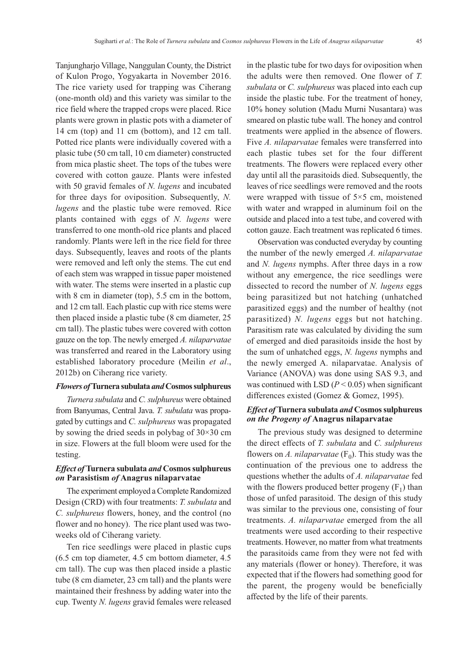Tanjungharjo Village, Nanggulan County, the District of Kulon Progo, Yogyakarta in November 2016. The rice variety used for trapping was Ciherang (one-month old) and this variety was similar to the rice field where the trapped crops were placed. Rice plants were grown in plastic pots with a diameter of 14 cm (top) and 11 cm (bottom), and 12 cm tall. Potted rice plants were individually covered with a plasic tube (50 cm tall, 10 cm diameter) constructed from mica plastic sheet. The tops of the tubes were covered with cotton gauze. Plants were infested with 50 gravid females of *N. lugens* and incubated for three days for oviposition. Subsequently, *N. lugens* and the plastic tube were removed. Rice plants contained with eggs of *N. lugens* were transferred to one month-old rice plants and placed randomly. Plants were left in the rice field for three days. Subsequently, leaves and roots of the plants were removed and left only the stems. The cut end of each stem was wrapped in tissue paper moistened with water. The stems were inserted in a plastic cup with 8 cm in diameter (top), 5.5 cm in the bottom, and 12 cm tall. Each plastic cup with rice stems were then placed inside a plastic tube (8 cm diameter, 25 cm tall). The plastic tubes were covered with cotton gauze on the top. The newly emerged *A. nilaparvatae* was transferred and reared in the Laboratory using established laboratory procedure (Meilin *et al*., 2012b) on Ciherang rice variety.

#### *Flowers of***Turnera subulata** *and***Cosmossulphureus**

*Turnera subulata* and *C.sulphureus* were obtained from Banyumas, Central Java. *T. subulata* was propagated by cuttings and *C. sulphureus* was propagated by sowing the dried seeds in polybag of 30×30 cm in size. Flowers at the full bloom were used for the testing.

## *Effect of* **Turnera** subulata *and* Cosmos sulphureus *on* **Parasistism** *of* **Anagrus nilaparvatae**

The experiment employed a Complete Randomized Design (CRD) with four treatments: *T. subulata* and *C. sulphureus* flowers, honey, and the control (no flower and no honey). The rice plant used was twoweeks old of Ciherang variety.

Ten rice seedlings were placed in plastic cups (6.5 cm top diameter, 4.5 cm bottom diameter, 4.5 cm tall). The cup was then placed inside a plastic tube (8 cm diameter, 23 cm tall) and the plants were maintained their freshness by adding water into the cup. Twenty *N. lugens* gravid females were released in the plastic tube for two days for oviposition when the adults were then removed. One flower of *T. subulata* or *C. sulphureus* was placed into each cup inside the plastic tube. For the treatment of honey, 10% honey solution (Madu Murni Nusantara) was smeared on plastic tube wall. The honey and control treatments were applied in the absence of flowers. Five *A. nilaparvatae* females were transferred into each plastic tubes set for the four different treatments. The flowers were replaced every other day until all the parasitoids died. Subsequently, the leaves of rice seedlings were removed and the roots were wrapped with tissue of 5×5 cm, moistened with water and wrapped in aluminum foil on the outside and placed into a test tube, and covered with cotton gauze. Each treatment was replicated 6 times.

Observation was conducted everyday by counting the number of the newly emerged *A. nilaparvatae* and *N. lugens* nymphs. After three days in a row without any emergence, the rice seedlings were dissected to record the number of *N. lugens* eggs being parasitized but not hatching (unhatched parasitized eggs) and the number of healthy (not parasitized) *N. lugens* eggs but not hatching. Parasitism rate was calculated by dividing the sum of emerged and died parasitoids inside the host by the sum of unhatched eggs, *N. lugens* nymphs and the newly emerged A. nilaparvatae. Analysis of Variance (ANOVA) was done using SAS 9.3, and was continued with LSD  $(P < 0.05)$  when significant differences existed (Gomez & Gomez, 1995).

## *Effect of* **Turnera subulata** *and* **Cosmos sulphureus** *on the Progeny of* **Anagrus nilaparvatae**

The previous study was designed to determine the direct effects of *T. subulata* and *C. sulphureus* flowers on *A. nilaparvatae*  $(F_0)$ . This study was the continuation of the previous one to address the questions whether the adults of *A. nilaparvatae* fed with the flowers produced better progeny  $(F_1)$  than those of unfed parasitoid. The design of this study was similar to the previous one, consisting of four treatments. *A. nilaparvatae* emerged from the all treatments were used according to their respective treatments. However, no matter from what treatments the parasitoids came from they were not fed with any materials (flower or honey). Therefore, it was expected that if the flowers had something good for the parent, the progeny would be beneficially affected by the life of their parents.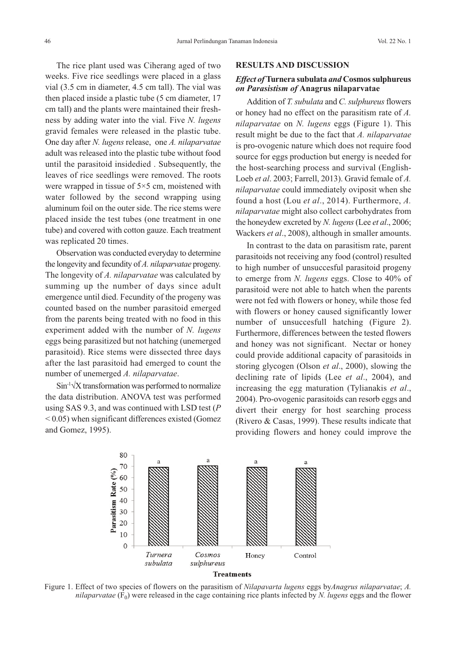The rice plant used was Ciherang aged of two weeks. Five rice seedlings were placed in a glass vial (3.5 cm in diameter, 4.5 cm tall). The vial was then placed inside a plastic tube (5 cm diameter, 17 cm tall) and the plants were maintained their freshness by adding water into the vial. Five *N. lugens* gravid females were released in the plastic tube. One day after *N. lugens* release, one *A. nilaparvatae* adult was released into the plastic tube without food until the parasitoid insidedied . Subsequently, the leaves of rice seedlings were removed. The roots were wrapped in tissue of 5×5 cm, moistened with water followed by the second wrapping using aluminum foil on the outer side. The rice stems were placed inside the test tubes (one treatment in one tube) and covered with cotton gauze. Each treatment was replicated 20 times.

Observation was conducted everyday to determine the longevity and fecundity of *A. nilaparvatae* progeny. The longevity of *A. nilaparvatae* was calculated by summing up the number of days since adult emergence until died. Fecundity of the progeny was counted based on the number parasitoid emerged from the parents being treated with no food in this experiment added with the number of *N. lugens* eggs being parasitized but not hatching (unemerged parasitoid). Rice stems were dissected three days after the last parasitoid had emerged to count the number of unemerged *A. nilaparvatae*.

Sin<sup>-1</sup>√X transformation was performed to normalize the data distribution. ANOVA test was performed using SAS 9.3, and was continued with LSD test (*P* < 0.05) when significant differences existed (Gomez and Gomez, 1995).

#### **RESULTS AND DISCUSSION**

## *Effect of* **Turnera subulata** *and* **Cosmossulphureus** *on Parasistism of* **Anagrus nilaparvatae**

Addition of *T. subulata* and *C. sulphureus* flowers or honey had no effect on the parasitism rate of *A. nilaparvatae* on *N. lugens* eggs (Figure 1). This result might be due to the fact that *A. nilaparvatae* is pro-ovogenic nature which does not require food source for eggs production but energy is needed for the host-searching process and survival (English-Loeb *et al*. 2003; Farrell, 2013). Gravid female of *A. nilaparvatae* could immediately oviposit when she found a host (Lou *et al*., 2014). Furthermore, *A. nilaparvatae* might also collect carbohydrates from the honeydew excreted by *N. lugens*(Lee *et al*., 2006; Wackers *et al*., 2008), although in smaller amounts.

In contrast to the data on parasitism rate, parent parasitoids not receiving any food (control) resulted to high number of unsuccesful parasitoid progeny to emerge from *N. lugens* eggs. Close to 40% of parasitoid were not able to hatch when the parents were not fed with flowers or honey, while those fed with flowers or honey caused significantly lower number of unsuccesfull hatching (Figure 2). Furthermore, differences between the tested flowers and honey was not significant. Nectar or honey could provide additional capacity of parasitoids in storing glycogen (Olson *et al*., 2000), slowing the declining rate of lipids (Lee *et al*., 2004), and increasing the egg maturation (Tylianakis *et al*., 2004). Pro-ovogenic parasitoids can resorb eggs and divert their energy for host searching process (Rivero & Casas, 1999). These results indicate that providing flowers and honey could improve the



Figure 1. Effect of two species of flowers on the parasitism of *Nilapavarta lugens* eggs by*Anagrus nilaparvatae*; *A. nilaparvatae*  $(F_0)$  were released in the cage containing rice plants infected by *N. lugens* eggs and the flower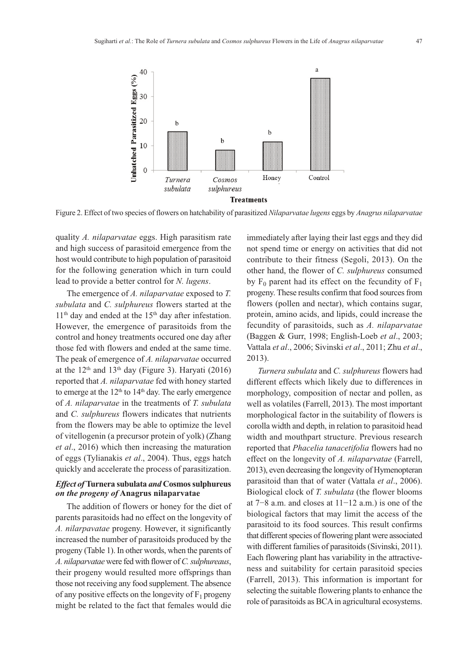

Figure 2. Effect of two species of flowers on hatchability of parasitized *Nilaparvatae lugens* eggs by *Anagrus nilaparvatae*

quality *A. nilaparvatae* eggs. High parasitism rate and high success of parasitoid emergence from the host would contribute to high population of parasitoid for the following generation which in turn could lead to provide a better control for *N. lugens*.

The emergence of *A. nilaparvatae* exposed to *T. subulata* and *C. sulphureus* flowers started at the  $11<sup>th</sup>$  day and ended at the  $15<sup>th</sup>$  day after infestation. However, the emergence of parasitoids from the control and honey treatments occured one day after those fed with flowers and ended at the same time. The peak of emergence of *A. nilaparvatae* occurred at the  $12<sup>th</sup>$  and  $13<sup>th</sup>$  day (Figure 3). Haryati (2016) reported that *A. nilaparvatae* fed with honey started to emerge at the  $12<sup>th</sup>$  to  $14<sup>th</sup>$  day. The early emergence of *A. nilaparvatae* in the treatments of *T. subulata* and *C. sulphureus* flowers indicates that nutrients from the flowers may be able to optimize the level of vitellogenin (a precursor protein of yolk) (Zhang *et al*., 2016) which then increasing the maturation of eggs (Tylianakis *et al*., 2004). Thus, eggs hatch quickly and accelerate the process of parasitization.

## *Effect of* **Turnera subulata** *and* **Cosmos sulphureus** *on the progeny of* **Anagrus nilaparvatae**

The addition of flowers or honey for the diet of parents parasitoids had no effect on the longevity of *A. nilarpavatae* progeny. However, it significantly increased the number of parasitoids produced by the progeny (Table 1). In other words, when the parents of *A. nilaparvatae* were fed with flower of*C.sulphureaus*, their progeny would resulted more offsprings than those not receiving any food supplement. The absence of any positive effects on the longevity of  $F_1$  progeny might be related to the fact that females would die

immediately after laying their last eggs and they did not spend time or energy on activities that did not contribute to their fitness (Segoli, 2013). On the other hand, the flower of *C. sulphureus* consumed by  $F_0$  parent had its effect on the fecundity of  $F_1$ progeny. These results confirm that food sources from flowers (pollen and nectar), which contains sugar, protein, amino acids, and lipids, could increase the fecundity of parasitoids, such as *A. nilaparvatae* (Baggen & Gurr, 1998; English-Loeb *et al*., 2003; Vattala *et al*., 2006; Sivinski *et al*., 2011; Zhu *et al*., 2013).

*Turnera subulata* and *C. sulphureus* flowers had different effects which likely due to differences in morphology, composition of nectar and pollen, as well as volatiles (Farrell, 2013). The most important morphological factor in the suitability of flowers is corolla width and depth, in relation to parasitoid head width and mouthpart structure. Previous research reported that *Phacelia tanacetifolia* flowers had no effect on the longevity of *A. nilaparvatae* (Farrell, 2013), even decreasing the longevity of Hymenopteran parasitoid than that of water (Vattala *et al*., 2006). Biological clock of *T. subulata* (the flower blooms at 7−8 a.m. and closes at 11−12 a.m.) is one of the biological factors that may limit the access of the parasitoid to its food sources. This result confirms that different species of flowering plant were associated with different families of parasitoids (Sivinski, 2011). Each flowering plant has variability in the attractiveness and suitability for certain parasitoid species (Farrell, 2013). This information is important for selecting the suitable flowering plants to enhance the role of parasitoids as BCA in agricultural ecosystems.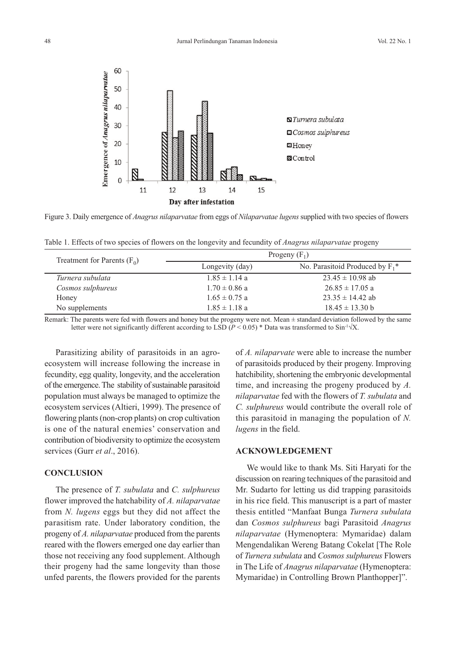

Figure 3. Daily emergence of *Anagrus nilaparvatae* from eggs of *Nilaparvatae lugens* supplied with two species of flowers

Table 1. Effects of two species of flowers on the longevity and fecundity of *Anagrus nilaparvatae* progeny

| Treatment for Parents $(F_0)$ | Progeny $(F_1)$   |                                               |
|-------------------------------|-------------------|-----------------------------------------------|
|                               | Longevity (day)   | No. Parasitoid Produced by $F_1$ <sup>*</sup> |
| Turnera subulata              | $1.85 \pm 1.14$ a | $23.45 \pm 10.98$ ab                          |
| Cosmos sulphureus             | $1.70 \pm 0.86$ a | $26.85 \pm 17.05$ a                           |
| Honey                         | $1.65 \pm 0.75$ a | $23.35 \pm 14.42$ ab                          |
| No supplements                | $1.85 \pm 1.18$ a | $18.45 \pm 13.30 \text{ b}$                   |

Remark: The parents were fed with flowers and honey but the progeny were not. Mean  $\pm$  standard deviation followed by the same letter were not significantly different according to LSD ( $P < 0.05$ ) \* Data was transformed to Sin<sup>-1</sup> $\sqrt{X}$ .

Parasitizing ability of parasitoids in an agroecosystem will increase following the increase in fecundity, egg quality, longevity, and the acceleration of the emergence. The stability of sustainable parasitoid population must always be managed to optimize the ecosystem services (Altieri, 1999). The presence of flowering plants(non-crop plants) on crop cultivation is one of the natural enemies' conservation and contribution of biodiversity to optimize the ecosystem services (Gurr *et al*., 2016).

## **CONCLUSION**

The presence of *T. subulata* and *C. sulphureus* flower improved the hatchability of *A. nilaparvatae* from *N. lugens* eggs but they did not affect the parasitism rate. Under laboratory condition, the progeny of *A. nilaparvatae* produced from the parents reared with the flowers emerged one day earlier than those not receiving any food supplement. Although their progeny had the same longevity than those unfed parents, the flowers provided for the parents

of *A. nilaparvate* were able to increase the number of parasitoids produced by their progeny. Improving hatchibility, shortening the embryonic developmental time, and increasing the progeny produced by *A. nilaparvatae* fed with the flowers of *T. subulata* and *C. sulphureus* would contribute the overall role of this parasitoid in managing the population of *N. lugens* in the field.

## **ACKNOWLEDGEMENT**

We would like to thank Ms. Siti Haryati for the discussion on rearing techniques of the parasitoid and Mr. Sudarto for letting us did trapping parasitoids in his rice field. This manuscript is a part of master thesis entitled "Manfaat Bunga *Turnera subulata* dan *Cosmos sulphureus* bagi Parasitoid *Anagrus nilaparvatae* (Hymenoptera: Mymaridae) dalam Mengendalikan Wereng Batang Cokelat [The Role of *Turnera subulata* and *Cosmos sulphureus* Flowers in The Life of *Anagrus nilaparvatae* (Hymenoptera: Mymaridae) in Controlling Brown Planthopper]".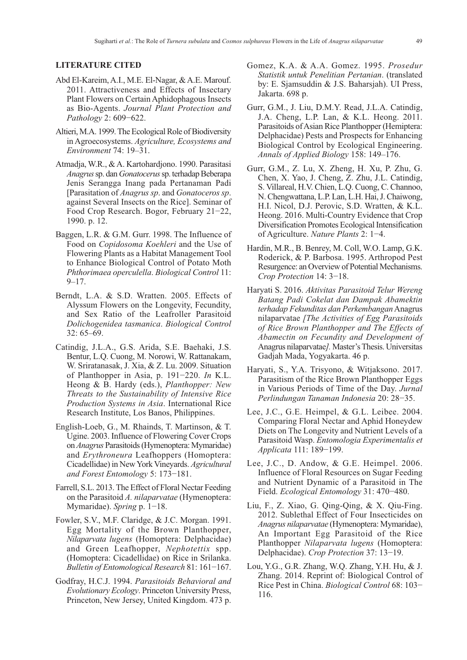### **LITERATURE CITED**

- Abd El-Kareim,A.I., M.E. El-Nagar, &A.E. Marouf. 2011. Attractiveness and Effects of Insectary Plant Flowers on Certain Aphidophagous Insects as Bio-Agents. *Journal Plant Protection and Pathology* 2: 609−622.
- Altieri, M.A. 1999. The Ecological Role of Biodiversity in Agroecosystems. *Agriculture, Ecosystems and Environment* 74: 19–31.
- Atmadja, W.R., &A. Kartohardjono. 1990. Parasitasi *Anagrus*sp. dan *Gonatocerus*sp. terhadapBeberapa Jenis Serangga Inang pada Pertanaman Padi [Parasitation of *Anagrus sp*. and *Gonatoceros sp*. against Several Insects on the Rice]. Seminar of Food Crop Research. Bogor, February 21−22, 1990. p. 12.
- Baggen, L.R. & G.M. Gurr. 1998. The Influence of Food on *Copidosoma Koehleri* and the Use of Flowering Plants as a Habitat Management Tool to Enhance Biological Control of Potato Moth *Phthorimaea operculella*. *Biological Control* 11:  $9 - 17$ .
- Berndt, L.A. & S.D. Wratten. 2005. Effects of Alyssum Flowers on the Longevity, Fecundity, and Sex Ratio of the Leafroller Parasitoid *Dolichogenidea tasmanica*. *Biological Control* 32: 65–69.
- Catindig, J.L.A., G.S. Arida, S.E. Baehaki, J.S. Bentur, L.Q. Cuong, M. Norowi, W. Rattanakam, W. Sriratanasak, J. Xia, & Z. Lu. 2009. Situation of Planthopper in Asia, p. 191−220. *In* K.L. Heong & B. Hardy (eds.), *Planthopper: New Threats to the Sustainability of Intensive Rice Production Systems in Asia*. International Rice Research Institute, Los Banos, Philippines.
- English-Loeb, G., M. Rhainds, T. Martinson, & T. Ugine. 2003. Influence of Flowering Cover Crops on *Anagrus* Parasitoids(Hymenoptera: Mymaridae) and *Erythroneura* Leafhoppers (Homoptera: Cicadellidae) in NewYork Vineyards. *Agricultural and Forest Entomology* 5: 173−181.
- Farrell, S.L. 2013.The Effect of Floral Nectar Feeding on the Parasitoid *A. nilaparvatae* (Hymenoptera: Mymaridae). *Spring* p. 1−18.
- Fowler, S.V., M.F. Claridge, & J.C. Morgan. 1991. Egg Mortality of the Brown Planthopper, *Nilaparvata lugens* (Homoptera: Delphacidae) and Green Leafhopper, *Nephotettix* spp. (Homoptera: Cicadellidae) on Rice in Srilanka. *Bulletin of Entomological Research* 81: 161−167.
- Godfray, H.C.J. 1994. *Parasitoids Behavioral and Evolutionary Ecology*. Princeton University Press, Princeton, New Jersey, United Kingdom. 473 p.
- Gomez, K.A. & A.A. Gomez. 1995. *Prosedur Statistik untuk Penelitian Pertanian*. (translated by: E. Sjamsuddin & J.S. Baharsjah). UI Press, Jakarta. 698 p.
- Gurr, G.M., J. Liu, D.M.Y. Read, J.L.A. Catindig, J.A. Cheng, L.P. Lan, & K.L. Heong. 2011. Parasitoids of Asian Rice Planthopper (Hemiptera: Delphacidae) Pests and Prospects for Enhancing Biological Control by Ecological Engineering. *Annals of Applied Biology* 158: 149–176.
- Gurr, G.M., Z. Lu, X. Zheng, H. Xu, P. Zhu, G. Chen, X. Yao, J. Cheng, Z. Zhu, J.L. Catindig, S. Villareal, H.V. Chien, L.Q. Cuong, C. Channoo, N.Chengwattana, L.P. Lan, L.H. Hai,J.Chaiwong, H.I. Nicol, D.J. Perovic, S.D. Wratten, & K.L. Heong. 2016. Multi-Country Evidence that Crop Diversification Promotes Ecological Intensification of Agriculture. *Nature Plants* 2: 1−4.
- Hardin, M.R., B. Benrey, M. Coll, W.O. Lamp, G.K. Roderick, & P. Barbosa. 1995. Arthropod Pest Resurgence: an Overview of Potential Mechanisms. *Crop Protection* 14: 3−18.
- Haryati S. 2016. *Aktivitas Parasitoid Telur Wereng Batang Padi Cokelat dan Dampak Abamektin terhadap Fekunditas dan Perkembangan*Anagrus nilaparvatae *[The Activities of Egg Parasitoids of Rice Brown Planthopper and The Effects of Abamectin on Fecundity and Development of* Anagrus nilaparvatae*].* Master'sThesis. Universitas Gadjah Mada, Yogyakarta. 46 p.
- Haryati, S., Y.A. Trisyono, & Witjaksono. 2017. Parasitism of the Rice Brown Planthopper Eggs in Various Periods of Time of the Day. *Jurnal Perlindungan Tanaman Indonesia* 20: 28−35.
- Lee, J.C., G.E. Heimpel, & G.L. Leibee. 2004. Comparing Floral Nectar and Aphid Honeydew Diets on The Longevity and Nutrient Levels of a Parasitoid Wasp. *Entomologia Experimentalis et Applicata* 111: 189−199.
- Lee, J.C., D. Andow, & G.E. Heimpel. 2006. Influence of Floral Resources on Sugar Feeding and Nutrient Dynamic of a Parasitoid in The Field. *Ecological Entomology* 31: 470−480.
- Liu, F., Z. Xiao, G. Qing-Qing, & X. Qiu-Fing. 2012. Sublethal Effect of Four Insecticides on *Anagrus nilaparvatae* (Hymenoptera: Mymaridae), An Important Egg Parasitoid of the Rice Planthopper *Nilaparvata lugens* (Homoptera: Delphacidae). *Crop Protection* 37: 13−19.
- Lou, Y.G., G.R. Zhang, W.Q. Zhang, Y.H. Hu, & J. Zhang. 2014. Reprint of: Biological Control of Rice Pest in China. *Biological Control* 68: 103− 116.